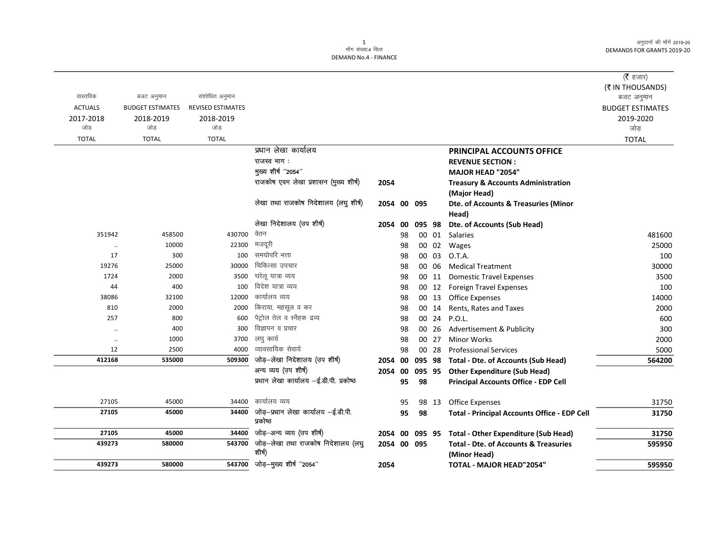अनुदानों की माँगें 2019-20 DEMANDS FOR GRANTS 2019-20

## 1<br>माँग संख्या.4 वित्त DEMAND No.4 - FINANCE

|                      |                         |                          |                                                 |             |    |        |        |                                                                  | ( $\bar{\tau}$ हजार)    |
|----------------------|-------------------------|--------------------------|-------------------------------------------------|-------------|----|--------|--------|------------------------------------------------------------------|-------------------------|
|                      |                         |                          |                                                 |             |    |        |        |                                                                  | (₹ IN THOUSANDS)        |
| वास्तविक             | बजट अनुमान              | संशोधित अनुमान           |                                                 |             |    |        |        |                                                                  | बजट अनुमान              |
| <b>ACTUALS</b>       | <b>BUDGET ESTIMATES</b> | <b>REVISED ESTIMATES</b> |                                                 |             |    |        |        |                                                                  | <b>BUDGET ESTIMATES</b> |
| 2017-2018<br>जोड     | 2018-2019<br>जोड        | 2018-2019<br>जोड         |                                                 |             |    |        |        |                                                                  | 2019-2020               |
| <b>TOTAL</b>         | <b>TOTAL</b>            | <b>TOTAL</b>             |                                                 |             |    |        |        |                                                                  | जोड़<br><b>TOTAL</b>    |
|                      |                         |                          | प्रधान लेखा कार्यालय                            |             |    |        |        | <b>PRINCIPAL ACCOUNTS OFFICE</b>                                 |                         |
|                      |                         |                          | राजस्व भाग:                                     |             |    |        |        | <b>REVENUE SECTION:</b>                                          |                         |
|                      |                         |                          | मुख्य शीर्ष "2054"                              |             |    |        |        | <b>MAJOR HEAD "2054"</b>                                         |                         |
|                      |                         |                          | राजकोष एवम लेखा प्रशासन (मुख्य शीर्ष)           | 2054        |    |        |        | <b>Treasury &amp; Accounts Administration</b>                    |                         |
|                      |                         |                          |                                                 |             |    |        |        | (Major Head)                                                     |                         |
|                      |                         |                          | लेखा तथा राजकोष निदेशालय (लघु शीर्ष)            | 2054 00 095 |    |        |        | Dte. of Accounts & Treasuries (Minor                             |                         |
|                      |                         |                          |                                                 |             |    |        |        | Head)                                                            |                         |
|                      |                         |                          | लेखा निदेशालय (उप शीर्ष)                        | 2054 00     |    | 095 98 |        | Dte. of Accounts (Sub Head)                                      |                         |
| 351942               | 458500                  | 430700                   | वेतन                                            |             | 98 |        | 00 01  | Salaries                                                         | 481600                  |
| $\ddot{\phantom{a}}$ | 10000                   | 22300                    | मजदूरी                                          |             | 98 |        | 00 02  | Wages                                                            | 25000                   |
| 17                   | 300                     | 100                      | समयोपरि भत्ता                                   |             | 98 |        | 00 03  | O.T.A.                                                           | 100                     |
| 19276                | 25000                   | 30000                    | चिकित्सा उपचार                                  |             | 98 |        | 00 06  | <b>Medical Treatment</b>                                         | 30000                   |
| 1724                 | 2000                    | 3500                     | घरेलू यात्रा व्यय                               |             | 98 |        | 00 11  | <b>Domestic Travel Expenses</b>                                  | 3500                    |
| 44                   | 400                     | 100                      | विदेश यात्रा व्यय                               |             | 98 |        | 00 12  | Foreign Travel Expenses                                          | 100                     |
| 38086                | 32100                   | 12000                    | कार्यालय व्यय                                   |             | 98 |        | 00 13  | <b>Office Expenses</b>                                           | 14000                   |
| 810                  | 2000                    | 2000                     | किराया, महसूल व कर                              |             | 98 |        | 00 14  | Rents, Rates and Taxes                                           | 2000                    |
| 257                  | 800                     | 600                      | पेट्रोल तेल व स्नैहक द्रव्य                     |             | 98 |        | 00 24  | <b>P.O.L.</b>                                                    | 600                     |
| $\ddotsc$            | 400                     | 300                      | विज्ञापन व प्रचार                               |             | 98 |        | 00 26  | Advertisement & Publicity                                        | 300                     |
| $\ldots$             | 1000                    | 3700                     | लघु कार्य                                       |             | 98 |        | 00 27  | <b>Minor Works</b>                                               | 2000                    |
| 12                   | 2500                    | 4000                     | व्यावसायिक सेवायें                              |             | 98 |        | 00 28  | <b>Professional Services</b>                                     | 5000                    |
| 412168               | 535000                  | 509300                   | जोड़-लेखा निदेशालय (उप शीर्ष)                   | 2054 00     |    |        | 095 98 | <b>Total - Dte. of Accounts (Sub Head)</b>                       | 564200                  |
|                      |                         |                          | अन्य व्यय (उप शीर्ष)                            | 2054 00     |    |        | 095 95 | <b>Other Expenditure (Sub Head)</b>                              |                         |
|                      |                         |                          | प्रधान लेखा कार्यालय -ई.डी.पी. प्रकोष्ठ         |             | 95 | 98     |        | <b>Principal Accounts Office - EDP Cell</b>                      |                         |
| 27105                | 45000                   | 34400                    | कार्यालय व्यय                                   |             | 95 |        | 98 13  | <b>Office Expenses</b>                                           | 31750                   |
| 27105                | 45000                   | 34400                    | जोड़-प्रधान लेखा कार्यालय -ई.डी.पी.<br>प्रकोष्ठ |             | 95 | 98     |        | <b>Total - Principal Accounts Office - EDP Cell</b>              | 31750                   |
| 27105                | 45000                   | 34400                    | जोड़-अन्य व्यय (उप शीर्ष)                       | 2054 00     |    | 095 95 |        | <b>Total - Other Expenditure (Sub Head)</b>                      | 31750                   |
| 439273               | 580000                  | 543700                   | जोड़-लेखा तथा राजकोष निदेशालय (लघु<br>शीर्ष)    | 2054 00 095 |    |        |        | <b>Total - Dte. of Accounts &amp; Treasuries</b><br>(Minor Head) | 595950                  |
| 439273               | 580000                  | 543700                   | जोड़-मुख्य शीर्ष "2054"                         | 2054        |    |        |        | TOTAL - MAJOR HEAD"2054"                                         | 595950                  |